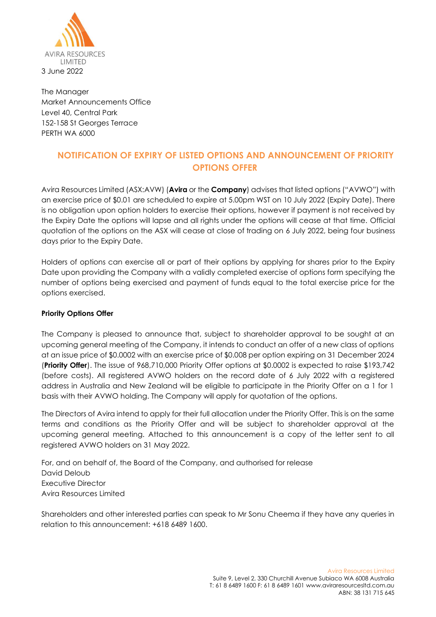

The Manager Market Announcements Office Level 40, Central Park 152-158 St Georges Terrace PERTH WA 6000

## **NOTIFICATION OF EXPIRY OF LISTED OPTIONS AND ANNOUNCEMENT OF PRIORITY OPTIONS OFFER**

Avira Resources Limited (ASX:AVW) (**Avira** or the **Company**) advises that listed options ("AVWO") with an exercise price of \$0.01 are scheduled to expire at 5.00pm WST on 10 July 2022 (Expiry Date). There is no obligation upon option holders to exercise their options, however if payment is not received by the Expiry Date the options will lapse and all rights under the options will cease at that time. Official quotation of the options on the ASX will cease at close of trading on 6 July 2022, being four business days prior to the Expiry Date.

Holders of options can exercise all or part of their options by applying for shares prior to the Expiry Date upon providing the Company with a validly completed exercise of options form specifying the number of options being exercised and payment of funds equal to the total exercise price for the options exercised.

## **Priority Options Offer**

The Company is pleased to announce that, subject to shareholder approval to be sought at an upcoming general meeting of the Company, it intends to conduct an offer of a new class of options at an issue price of \$0.0002 with an exercise price of \$0.008 per option expiring on 31 December 2024 (**Priority Offer**). The issue of 968,710,000 Priority Offer options at \$0.0002 is expected to raise \$193,742 (before costs). All registered AVWO holders on the record date of 6 July 2022 with a registered address in Australia and New Zealand will be eligible to participate in the Priority Offer on a 1 for 1 basis with their AVWO holding. The Company will apply for quotation of the options.

The Directors of Avira intend to apply for their full allocation under the Priority Offer. This is on the same terms and conditions as the Priority Offer and will be subject to shareholder approval at the upcoming general meeting. Attached to this announcement is a copy of the letter sent to all registered AVWO holders on 31 May 2022.

For, and on behalf of, the Board of the Company, and authorised for release David Deloub Executive Director Avira Resources Limited

Shareholders and other interested parties can speak to Mr Sonu Cheema if they have any queries in relation to this announcement: +618 6489 1600.